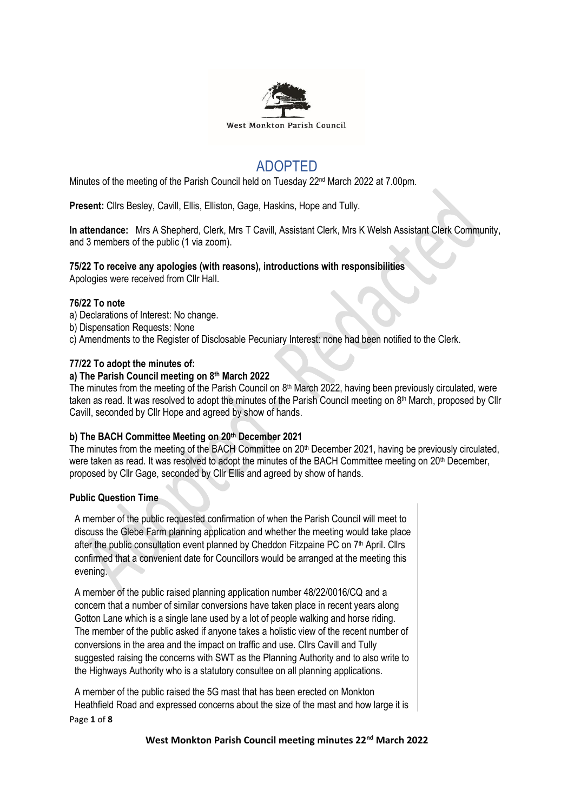

# ADOPTED

Minutes of the meeting of the Parish Council held on Tuesday 22<sup>nd</sup> March 2022 at 7.00pm.

**Present:** Cllrs Besley, Cavill, Ellis, Elliston, Gage, Haskins, Hope and Tully.

**In attendance:** Mrs A Shepherd, Clerk, Mrs T Cavill, Assistant Clerk, Mrs K Welsh Assistant Clerk Community, and 3 members of the public (1 via zoom).

## **75/22 To receive any apologies (with reasons), introductions with responsibilities**

Apologies were received from Cllr Hall.

#### **76/22 To note**

- a) Declarations of Interest: No change.
- b) Dispensation Requests: None
- c) Amendments to the Register of Disclosable Pecuniary Interest: none had been notified to the Clerk.

#### **77/22 To adopt the minutes of:**

#### **a) The Parish Council meeting on 8 th March 2022**

The minutes from the meeting of the Parish Council on 8<sup>th</sup> March 2022, having been previously circulated, were taken as read. It was resolved to adopt the minutes of the Parish Council meeting on 8<sup>th</sup> March, proposed by Cllr Cavill, seconded by Cllr Hope and agreed by show of hands.

#### **b) The BACH Committee Meeting on 20th December 2021**

The minutes from the meeting of the BACH Committee on 20<sup>th</sup> December 2021, having be previously circulated, were taken as read. It was resolved to adopt the minutes of the BACH Committee meeting on 20<sup>th</sup> December, proposed by Cllr Gage, seconded by Cllr Ellis and agreed by show of hands.

## **Public Question Time**

A member of the public requested confirmation of when the Parish Council will meet to discuss the Glebe Farm planning application and whether the meeting would take place after the public consultation event planned by Cheddon Fitzpaine PC on 7<sup>th</sup> April. Cllrs confirmed that a convenient date for Councillors would be arranged at the meeting this evening.

A member of the public raised planning application number 48/22/0016/CQ and a concern that a number of similar conversions have taken place in recent years along Gotton Lane which is a single lane used by a lot of people walking and horse riding. The member of the public asked if anyone takes a holistic view of the recent number of conversions in the area and the impact on traffic and use. Cllrs Cavill and Tully suggested raising the concerns with SWT as the Planning Authority and to also write to the Highways Authority who is a statutory consultee on all planning applications.

A member of the public raised the 5G mast that has been erected on Monkton Heathfield Road and expressed concerns about the size of the mast and how large it is

Page **1** of **8**

**West Monkton Parish Council meeting minutes 22nd March 2022**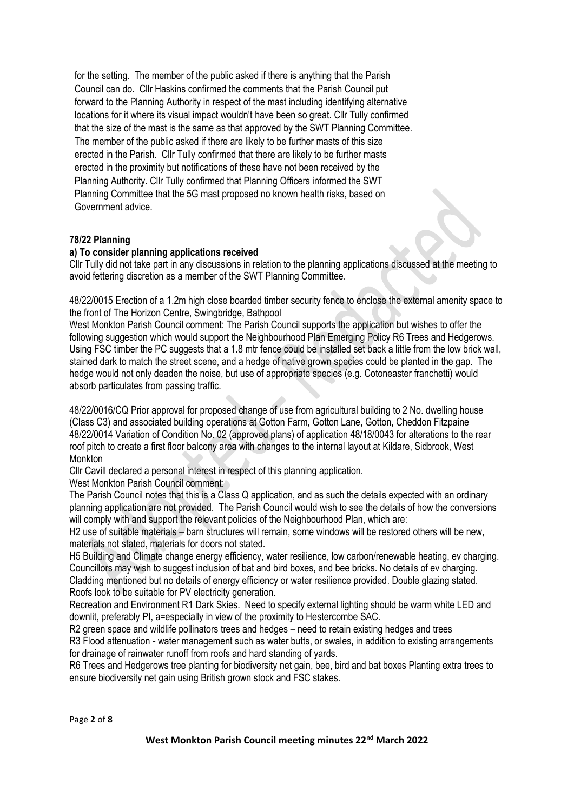for the setting. The member of the public asked if there is anything that the Parish Council can do. Cllr Haskins confirmed the comments that the Parish Council put forward to the Planning Authority in respect of the mast including identifying alternative locations for it where its visual impact wouldn't have been so great. Cllr Tully confirmed that the size of the mast is the same as that approved by the SWT Planning Committee. The member of the public asked if there are likely to be further masts of this size erected in the Parish. Cllr Tully confirmed that there are likely to be further masts erected in the proximity but notifications of these have not been received by the Planning Authority. Cllr Tully confirmed that Planning Officers informed the SWT Planning Committee that the 5G mast proposed no known health risks, based on Government advice.

## **78/22 Planning**

#### **a) To consider planning applications received**

Cllr Tully did not take part in any discussions in relation to the planning applications discussed at the meeting to avoid fettering discretion as a member of the SWT Planning Committee.

48/22/0015 Erection of a 1.2m high close boarded timber security fence to enclose the external amenity space to the front of The Horizon Centre, Swingbridge, Bathpool

West Monkton Parish Council comment: The Parish Council supports the application but wishes to offer the following suggestion which would support the Neighbourhood Plan Emerging Policy R6 Trees and Hedgerows. Using FSC timber the PC suggests that a 1.8 mtr fence could be installed set back a little from the low brick wall, stained dark to match the street scene, and a hedge of native grown species could be planted in the gap. The hedge would not only deaden the noise, but use of appropriate species (e.g. Cotoneaster franchetti) would absorb particulates from passing traffic.

48/22/0016/CQ Prior approval for proposed change of use from agricultural building to 2 No. dwelling house (Class C3) and associated building operations at Gotton Farm, Gotton Lane, Gotton, Cheddon Fitzpaine 48/22/0014 Variation of Condition No. 02 (approved plans) of application 48/18/0043 for alterations to the rear roof pitch to create a first floor balcony area with changes to the internal layout at Kildare, Sidbrook, West Monkton

Cllr Cavill declared a personal interest in respect of this planning application.

West Monkton Parish Council comment:

The Parish Council notes that this is a Class Q application, and as such the details expected with an ordinary planning application are not provided. The Parish Council would wish to see the details of how the conversions will comply with and support the relevant policies of the Neighbourhood Plan, which are:

H2 use of suitable materials – barn structures will remain, some windows will be restored others will be new, materials not stated, materials for doors not stated.

H5 Building and Climate change energy efficiency, water resilience, low carbon/renewable heating, ev charging. Councillors may wish to suggest inclusion of bat and bird boxes, and bee bricks. No details of ev charging.

Cladding mentioned but no details of energy efficiency or water resilience provided. Double glazing stated. Roofs look to be suitable for PV electricity generation.

Recreation and Environment R1 Dark Skies. Need to specify external lighting should be warm white LED and downlit, preferably PI, a=especially in view of the proximity to Hestercombe SAC.

R2 green space and wildlife pollinators trees and hedges – need to retain existing hedges and trees

R3 Flood attenuation - water management such as water butts, or swales, in addition to existing arrangements for drainage of rainwater runoff from roofs and hard standing of yards.

R6 Trees and Hedgerows tree planting for biodiversity net gain, bee, bird and bat boxes Planting extra trees to ensure biodiversity net gain using British grown stock and FSC stakes.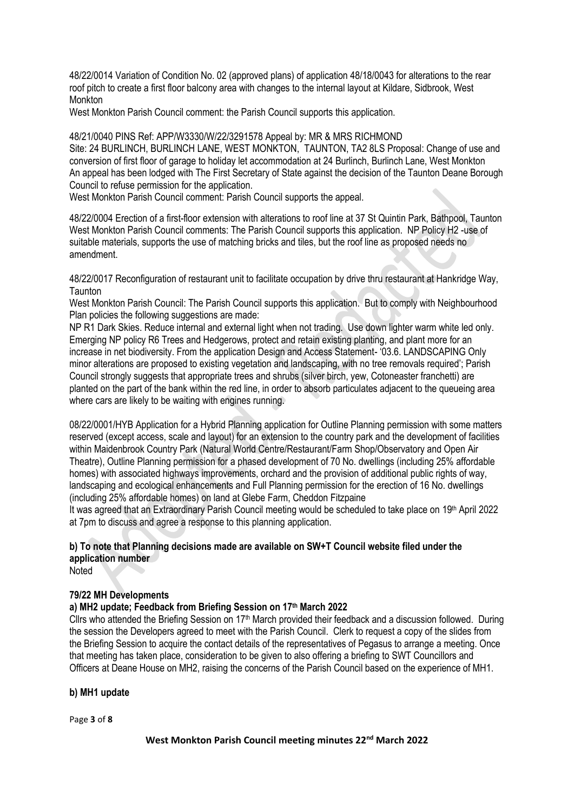48/22/0014 Variation of Condition No. 02 (approved plans) of application 48/18/0043 for alterations to the rear roof pitch to create a first floor balcony area with changes to the internal layout at Kildare, Sidbrook, West Monkton

West Monkton Parish Council comment: the Parish Council supports this application.

48/21/0040 PINS Ref: APP/W3330/W/22/3291578 Appeal by: MR & MRS RICHMOND Site: 24 BURLINCH, BURLINCH LANE, WEST MONKTON, TAUNTON, TA2 8LS Proposal: Change of use and conversion of first floor of garage to holiday let accommodation at 24 Burlinch, Burlinch Lane, West Monkton An appeal has been lodged with The First Secretary of State against the decision of the Taunton Deane Borough Council to refuse permission for the application.

West Monkton Parish Council comment: Parish Council supports the appeal.

48/22/0004 Erection of a first-floor extension with alterations to roof line at 37 St Quintin Park, Bathpool, Taunton West Monkton Parish Council comments: The Parish Council supports this application. NP Policy H2 -use of suitable materials, supports the use of matching bricks and tiles, but the roof line as proposed needs no amendment.

48/22/0017 Reconfiguration of restaurant unit to facilitate occupation by drive thru restaurant at Hankridge Way, **Taunton** 

West Monkton Parish Council: The Parish Council supports this application. But to comply with Neighbourhood Plan policies the following suggestions are made:

NP R1 Dark Skies. Reduce internal and external light when not trading. Use down lighter warm white led only. Emerging NP policy R6 Trees and Hedgerows, protect and retain existing planting, and plant more for an increase in net biodiversity. From the application Design and Access Statement- '03.6. LANDSCAPING Only minor alterations are proposed to existing vegetation and landscaping, with no tree removals required'; Parish Council strongly suggests that appropriate trees and shrubs (silver birch, yew, Cotoneaster franchetti) are planted on the part of the bank within the red line, in order to absorb particulates adjacent to the queueing area where cars are likely to be waiting with engines running.

08/22/0001/HYB Application for a Hybrid Planning application for Outline Planning permission with some matters reserved (except access, scale and layout) for an extension to the country park and the development of facilities within Maidenbrook Country Park (Natural World Centre/Restaurant/Farm Shop/Observatory and Open Air Theatre), Outline Planning permission for a phased development of 70 No. dwellings (including 25% affordable homes) with associated highways improvements, orchard and the provision of additional public rights of way, landscaping and ecological enhancements and Full Planning permission for the erection of 16 No. dwellings (including 25% affordable homes) on land at Glebe Farm, Cheddon Fitzpaine

It was agreed that an Extraordinary Parish Council meeting would be scheduled to take place on 19th April 2022 at 7pm to discuss and agree a response to this planning application.

## **b) To note that Planning decisions made are available on SW+T Council website filed under the application number**

**Noted** 

#### **79/22 MH Developments**

## **a) MH2 update; Feedback from Briefing Session on 17th March 2022**

Cllrs who attended the Briefing Session on  $17<sup>th</sup>$  March provided their feedback and a discussion followed. During the session the Developers agreed to meet with the Parish Council. Clerk to request a copy of the slides from the Briefing Session to acquire the contact details of the representatives of Pegasus to arrange a meeting. Once that meeting has taken place, consideration to be given to also offering a briefing to SWT Councillors and Officers at Deane House on MH2, raising the concerns of the Parish Council based on the experience of MH1.

#### **b) MH1 update**

Page **3** of **8**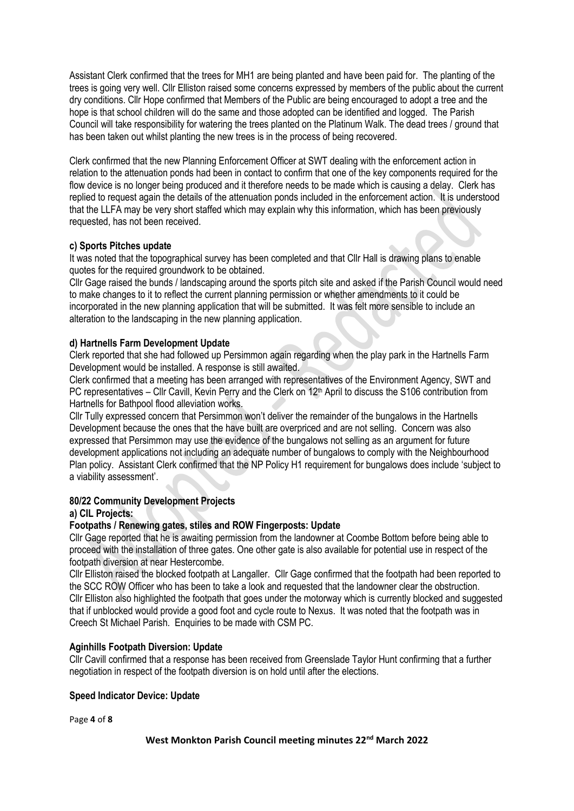Assistant Clerk confirmed that the trees for MH1 are being planted and have been paid for. The planting of the trees is going very well. Cllr Elliston raised some concerns expressed by members of the public about the current dry conditions. Cllr Hope confirmed that Members of the Public are being encouraged to adopt a tree and the hope is that school children will do the same and those adopted can be identified and logged. The Parish Council will take responsibility for watering the trees planted on the Platinum Walk. The dead trees / ground that has been taken out whilst planting the new trees is in the process of being recovered.

Clerk confirmed that the new Planning Enforcement Officer at SWT dealing with the enforcement action in relation to the attenuation ponds had been in contact to confirm that one of the key components required for the flow device is no longer being produced and it therefore needs to be made which is causing a delay. Clerk has replied to request again the details of the attenuation ponds included in the enforcement action. It is understood that the LLFA may be very short staffed which may explain why this information, which has been previously requested, has not been received.

## **c) Sports Pitches update**

It was noted that the topographical survey has been completed and that Cllr Hall is drawing plans to enable quotes for the required groundwork to be obtained.

Cllr Gage raised the bunds / landscaping around the sports pitch site and asked if the Parish Council would need to make changes to it to reflect the current planning permission or whether amendments to it could be incorporated in the new planning application that will be submitted. It was felt more sensible to include an alteration to the landscaping in the new planning application.

#### **d) Hartnells Farm Development Update**

Clerk reported that she had followed up Persimmon again regarding when the play park in the Hartnells Farm Development would be installed. A response is still awaited.

Clerk confirmed that a meeting has been arranged with representatives of the Environment Agency, SWT and PC representatives – Cllr Cavill, Kevin Perry and the Clerk on 12<sup>th</sup> April to discuss the S106 contribution from Hartnells for Bathpool flood alleviation works.

Cllr Tully expressed concern that Persimmon won't deliver the remainder of the bungalows in the Hartnells Development because the ones that the have built are overpriced and are not selling. Concern was also expressed that Persimmon may use the evidence of the bungalows not selling as an argument for future development applications not including an adequate number of bungalows to comply with the Neighbourhood Plan policy. Assistant Clerk confirmed that the NP Policy H1 requirement for bungalows does include 'subject to a viability assessment'.

#### **80/22 Community Development Projects**

## **a) CIL Projects:**

## **Footpaths / Renewing gates, stiles and ROW Fingerposts: Update**

Cllr Gage reported that he is awaiting permission from the landowner at Coombe Bottom before being able to proceed with the installation of three gates. One other gate is also available for potential use in respect of the footpath diversion at near Hestercombe.

Cllr Elliston raised the blocked footpath at Langaller. Cllr Gage confirmed that the footpath had been reported to the SCC ROW Officer who has been to take a look and requested that the landowner clear the obstruction. Cllr Elliston also highlighted the footpath that goes under the motorway which is currently blocked and suggested that if unblocked would provide a good foot and cycle route to Nexus. It was noted that the footpath was in Creech St Michael Parish. Enquiries to be made with CSM PC.

## **Aginhills Footpath Diversion: Update**

Cllr Cavill confirmed that a response has been received from Greenslade Taylor Hunt confirming that a further negotiation in respect of the footpath diversion is on hold until after the elections.

## **Speed Indicator Device: Update**

Page **4** of **8**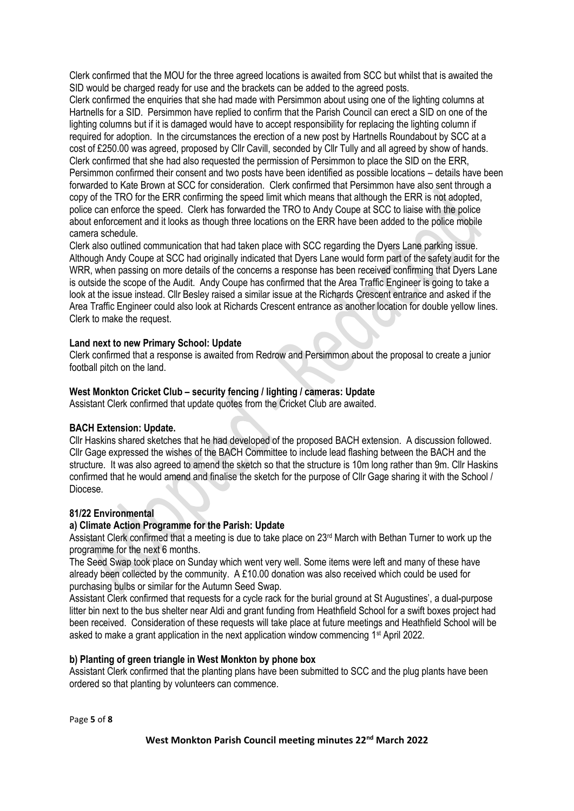Clerk confirmed that the MOU for the three agreed locations is awaited from SCC but whilst that is awaited the SID would be charged ready for use and the brackets can be added to the agreed posts.

Clerk confirmed the enquiries that she had made with Persimmon about using one of the lighting columns at Hartnells for a SID. Persimmon have replied to confirm that the Parish Council can erect a SID on one of the lighting columns but if it is damaged would have to accept responsibility for replacing the lighting column if required for adoption. In the circumstances the erection of a new post by Hartnells Roundabout by SCC at a cost of £250.00 was agreed, proposed by Cllr Cavill, seconded by Cllr Tully and all agreed by show of hands. Clerk confirmed that she had also requested the permission of Persimmon to place the SID on the ERR, Persimmon confirmed their consent and two posts have been identified as possible locations – details have been forwarded to Kate Brown at SCC for consideration. Clerk confirmed that Persimmon have also sent through a copy of the TRO for the ERR confirming the speed limit which means that although the ERR is not adopted, police can enforce the speed. Clerk has forwarded the TRO to Andy Coupe at SCC to liaise with the police about enforcement and it looks as though three locations on the ERR have been added to the police mobile camera schedule.

Clerk also outlined communication that had taken place with SCC regarding the Dyers Lane parking issue. Although Andy Coupe at SCC had originally indicated that Dyers Lane would form part of the safety audit for the WRR, when passing on more details of the concerns a response has been received confirming that Dyers Lane is outside the scope of the Audit. Andy Coupe has confirmed that the Area Traffic Engineer is going to take a look at the issue instead. Cllr Besley raised a similar issue at the Richards Crescent entrance and asked if the Area Traffic Engineer could also look at Richards Crescent entrance as another location for double yellow lines. Clerk to make the request.

#### **Land next to new Primary School: Update**

Clerk confirmed that a response is awaited from Redrow and Persimmon about the proposal to create a junior football pitch on the land.

#### **West Monkton Cricket Club – security fencing / lighting / cameras: Update**

Assistant Clerk confirmed that update quotes from the Cricket Club are awaited.

#### **BACH Extension: Update.**

Cllr Haskins shared sketches that he had developed of the proposed BACH extension. A discussion followed. Cllr Gage expressed the wishes of the BACH Committee to include lead flashing between the BACH and the structure. It was also agreed to amend the sketch so that the structure is 10m long rather than 9m. Cllr Haskins confirmed that he would amend and finalise the sketch for the purpose of Cllr Gage sharing it with the School / Diocese.

#### **81/22 Environmental**

#### **a) Climate Action Programme for the Parish: Update**

Assistant Clerk confirmed that a meeting is due to take place on 23rd March with Bethan Turner to work up the programme for the next 6 months.

The Seed Swap took place on Sunday which went very well. Some items were left and many of these have already been collected by the community. A £10.00 donation was also received which could be used for purchasing bulbs or similar for the Autumn Seed Swap.

Assistant Clerk confirmed that requests for a cycle rack for the burial ground at St Augustines', a dual-purpose litter bin next to the bus shelter near Aldi and grant funding from Heathfield School for a swift boxes project had been received. Consideration of these requests will take place at future meetings and Heathfield School will be asked to make a grant application in the next application window commencing 1<sup>st</sup> April 2022.

#### **b) Planting of green triangle in West Monkton by phone box**

Assistant Clerk confirmed that the planting plans have been submitted to SCC and the plug plants have been ordered so that planting by volunteers can commence.

Page **5** of **8**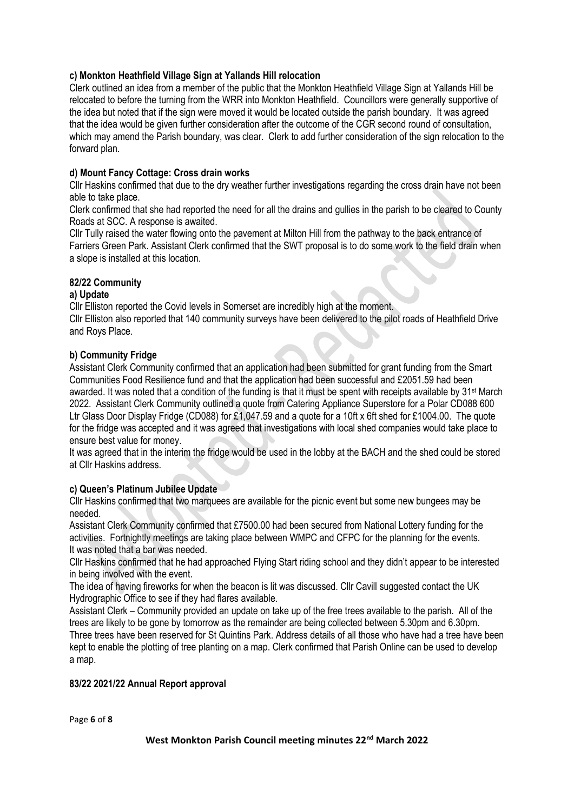## **c) Monkton Heathfield Village Sign at Yallands Hill relocation**

Clerk outlined an idea from a member of the public that the Monkton Heathfield Village Sign at Yallands Hill be relocated to before the turning from the WRR into Monkton Heathfield. Councillors were generally supportive of the idea but noted that if the sign were moved it would be located outside the parish boundary. It was agreed that the idea would be given further consideration after the outcome of the CGR second round of consultation, which may amend the Parish boundary, was clear. Clerk to add further consideration of the sign relocation to the forward plan.

## **d) Mount Fancy Cottage: Cross drain works**

Cllr Haskins confirmed that due to the dry weather further investigations regarding the cross drain have not been able to take place.

Clerk confirmed that she had reported the need for all the drains and gullies in the parish to be cleared to County Roads at SCC. A response is awaited.

Cllr Tully raised the water flowing onto the pavement at Milton Hill from the pathway to the back entrance of Farriers Green Park. Assistant Clerk confirmed that the SWT proposal is to do some work to the field drain when a slope is installed at this location.

#### **82/22 Community**

#### **a) Update**

Cllr Elliston reported the Covid levels in Somerset are incredibly high at the moment.

Cllr Elliston also reported that 140 community surveys have been delivered to the pilot roads of Heathfield Drive and Roys Place.

#### **b) Community Fridge**

Assistant Clerk Community confirmed that an application had been submitted for grant funding from the Smart Communities Food Resilience fund and that the application had been successful and £2051.59 had been awarded. It was noted that a condition of the funding is that it must be spent with receipts available by 31st March 2022. Assistant Clerk Community outlined a quote from Catering Appliance Superstore for a Polar CD088 600 Ltr Glass Door Display Fridge (CD088) for £1,047.59 and a quote for a 10ft x 6ft shed for £1004.00. The quote for the fridge was accepted and it was agreed that investigations with local shed companies would take place to ensure best value for money.

It was agreed that in the interim the fridge would be used in the lobby at the BACH and the shed could be stored at Cllr Haskins address.

#### **c) Queen's Platinum Jubilee Update**

Cllr Haskins confirmed that two marquees are available for the picnic event but some new bungees may be needed.

Assistant Clerk Community confirmed that £7500.00 had been secured from National Lottery funding for the activities. Fortnightly meetings are taking place between WMPC and CFPC for the planning for the events. It was noted that a bar was needed.

Cllr Haskins confirmed that he had approached Flying Start riding school and they didn't appear to be interested in being involved with the event.

The idea of having fireworks for when the beacon is lit was discussed. Cllr Cavill suggested contact the UK Hydrographic Office to see if they had flares available.

Assistant Clerk – Community provided an update on take up of the free trees available to the parish. All of the trees are likely to be gone by tomorrow as the remainder are being collected between 5.30pm and 6.30pm. Three trees have been reserved for St Quintins Park. Address details of all those who have had a tree have been kept to enable the plotting of tree planting on a map. Clerk confirmed that Parish Online can be used to develop a map.

#### **83/22 2021/22 Annual Report approval**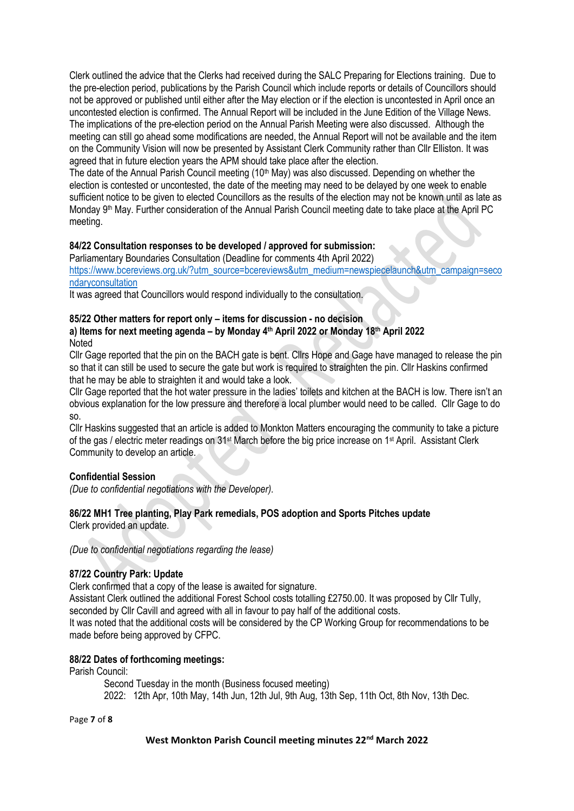Clerk outlined the advice that the Clerks had received during the SALC Preparing for Elections training. Due to the pre-election period, publications by the Parish Council which include reports or details of Councillors should not be approved or published until either after the May election or if the election is uncontested in April once an uncontested election is confirmed. The Annual Report will be included in the June Edition of the Village News. The implications of the pre-election period on the Annual Parish Meeting were also discussed. Although the meeting can still go ahead some modifications are needed, the Annual Report will not be available and the item on the Community Vision will now be presented by Assistant Clerk Community rather than Cllr Elliston. It was agreed that in future election years the APM should take place after the election.

The date of the Annual Parish Council meeting  $(10<sup>th</sup>$  May) was also discussed. Depending on whether the election is contested or uncontested, the date of the meeting may need to be delayed by one week to enable sufficient notice to be given to elected Councillors as the results of the election may not be known until as late as Monday 9th May. Further consideration of the Annual Parish Council meeting date to take place at the April PC meeting.

## **84/22 Consultation responses to be developed / approved for submission:**

Parliamentary Boundaries Consultation (Deadline for comments 4th April 2022)

[https://www.bcereviews.org.uk/?utm\\_source=bcereviews&utm\\_medium=newspiecelaunch&utm\\_campaign=seco](https://www.bcereviews.org.uk/?utm_source=bcereviews&utm_medium=newspiecelaunch&utm_campaign=secondaryconsultation) [ndaryconsultation](https://www.bcereviews.org.uk/?utm_source=bcereviews&utm_medium=newspiecelaunch&utm_campaign=secondaryconsultation)

It was agreed that Councillors would respond individually to the consultation.

#### **85/22 Other matters for report only – items for discussion - no decision**

#### **a) Items for next meeting agenda – by Monday 4 th April 2022 or Monday 18th April 2022 Noted**

Cllr Gage reported that the pin on the BACH gate is bent. Cllrs Hope and Gage have managed to release the pin so that it can still be used to secure the gate but work is required to straighten the pin. Cllr Haskins confirmed that he may be able to straighten it and would take a look.

Cllr Gage reported that the hot water pressure in the ladies' toilets and kitchen at the BACH is low. There isn't an obvious explanation for the low pressure and therefore a local plumber would need to be called. Cllr Gage to do so.

Cllr Haskins suggested that an article is added to Monkton Matters encouraging the community to take a picture of the gas / electric meter readings on 31st March before the big price increase on 1st April. Assistant Clerk Community to develop an article.

#### **Confidential Session**

*(Due to confidential negotiations with the Developer).*

## **86/22 MH1 Tree planting, Play Park remedials, POS adoption and Sports Pitches update**

Clerk provided an update.

*(Due to confidential negotiations regarding the lease)*

## **87/22 Country Park: Update**

Clerk confirmed that a copy of the lease is awaited for signature.

Assistant Clerk outlined the additional Forest School costs totalling £2750.00. It was proposed by Cllr Tully, seconded by Cllr Cavill and agreed with all in favour to pay half of the additional costs.

It was noted that the additional costs will be considered by the CP Working Group for recommendations to be made before being approved by CFPC.

## **88/22 Dates of forthcoming meetings:**

Parish Council:

Second Tuesday in the month (Business focused meeting) 2022: 12th Apr, 10th May, 14th Jun, 12th Jul, 9th Aug, 13th Sep, 11th Oct, 8th Nov, 13th Dec.

Page **7** of **8**

#### **West Monkton Parish Council meeting minutes 22nd March 2022**